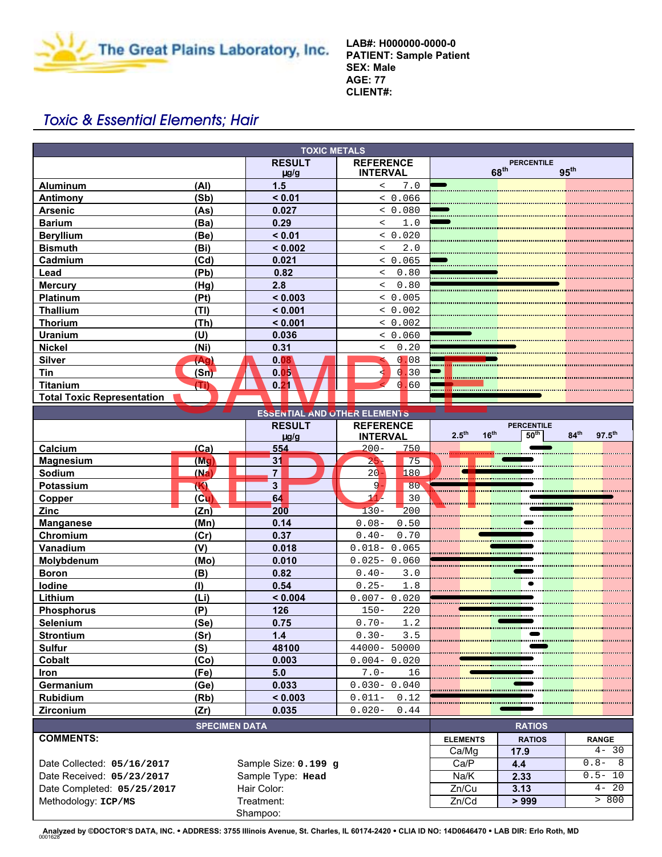

**LAB#: H000000-0000-0 PATIENT: Sample Patient SEX: Male AGE: 77 CLIENT#:**

# Toxic & Essential Elements; Hair

| <b>TOXIC METALS</b>                 |                            |                                     |                                                           |  |  |  |
|-------------------------------------|----------------------------|-------------------------------------|-----------------------------------------------------------|--|--|--|
|                                     | <b>RESULT</b><br>$\mu$ g/g | <b>REFERENCE</b><br><b>INTERVAL</b> | <b>PERCENTILE</b><br>68 <sup>th</sup><br>95 <sup>th</sup> |  |  |  |
| (Al)<br><b>Aluminum</b>             | 1.5                        | 7.0<br>$\,<\,$                      |                                                           |  |  |  |
| Antimony<br>(Sb)                    | < 0.01                     | < 0.066                             |                                                           |  |  |  |
| <b>Arsenic</b><br>(As)              | 0.027                      | < 0.080                             |                                                           |  |  |  |
| <b>Barium</b><br>(Ba)               | 0.29                       | 1.0<br>$\overline{a}$               |                                                           |  |  |  |
| <b>Beryllium</b><br>(Be)            | < 0.01                     | < 0.020                             |                                                           |  |  |  |
| <b>Bismuth</b><br>(Bi)              | < 0.002                    | 2.0<br>$\overline{a}$               |                                                           |  |  |  |
| Cadmium<br>(Cd)                     | 0.021                      | < 0.065                             |                                                           |  |  |  |
| (Pb)<br>Lead                        | 0.82                       | 0.80<br>$\overline{a}$              |                                                           |  |  |  |
| <b>Mercury</b><br>(Hg)              | 2.8                        | 0.80<br>$\prec$                     |                                                           |  |  |  |
| Platinum<br>(Pt)                    | < 0.003                    | < 0.005                             |                                                           |  |  |  |
| <b>Thallium</b><br>(TI)             | < 0.001                    | & 0.002                             |                                                           |  |  |  |
| <b>Thorium</b><br>(Th)              | < 0.001                    | & 0.002                             |                                                           |  |  |  |
| <b>Uranium</b><br>(U)               | 0.036                      | < 0.060                             |                                                           |  |  |  |
| <b>Nickel</b><br>(Ni)               | 0.31                       | 0.20<br>$\,<\,$                     |                                                           |  |  |  |
| <b>Silver</b><br>(Ag)               | 0.08                       | 0.08                                |                                                           |  |  |  |
| Tin<br>(Sn)                         | 0.05                       | 30                                  |                                                           |  |  |  |
| <b>Titanium</b><br>Ε                |                            | .60                                 |                                                           |  |  |  |
| <b>Total Toxic Representation</b>   |                            |                                     |                                                           |  |  |  |
| <b>ESSENTIAL AND OTHER ELEMENTS</b> |                            |                                     |                                                           |  |  |  |
|                                     | <b>RESULT</b>              | <b>REFERENCE</b>                    | <b>PERCENTILE</b><br>the contract of the contract of      |  |  |  |

| <b>ESSENTIAL AND OTHER ELEMENTS</b>                |                      |                  |                                   |                                       |                                       |                                                              |
|----------------------------------------------------|----------------------|------------------|-----------------------------------|---------------------------------------|---------------------------------------|--------------------------------------------------------------|
|                                                    |                      | <b>RESULT</b>    | <b>REFERENCE</b>                  | 2.5 <sup>th</sup><br>16 <sup>th</sup> | <b>PERCENTILE</b><br>50 <sup>th</sup> | 84 <sup>th</sup><br>$97.5^{th}$                              |
| Calcium                                            | (Ca)                 | $\mu$ g/g<br>554 | <b>INTERVAL</b><br>$200 -$<br>750 |                                       |                                       |                                                              |
| <b>Magnesium</b>                                   | (Mq)                 | 31               | $25 -$<br>75                      |                                       |                                       |                                                              |
| <b>Sodium</b>                                      | (Ma)                 | $\overline{7}$   | $20 -$<br>180                     |                                       |                                       |                                                              |
| <b>Potassium</b>                                   | (K)                  | $\overline{3}$   | 9.<br>80                          |                                       |                                       |                                                              |
| Copper                                             | (C <sub>u</sub> )    | 64               | 11 <sup>2</sup><br>30             |                                       |                                       |                                                              |
| Zinc                                               | (Zn)                 | 200              | $130 -$<br>200                    |                                       |                                       | <u>na manana manana manana manana manana manana manana m</u> |
| <b>Manganese</b>                                   | (Mn)                 | 0.14             | $0.08-$<br>0.50                   |                                       |                                       |                                                              |
| Chromium                                           | (Cr)                 | 0.37             | $0.40-$<br>0.70                   |                                       |                                       |                                                              |
| Vanadium                                           | (V)                  | 0.018            | $0.018 - 0.065$                   |                                       |                                       |                                                              |
| Molybdenum                                         | (Mo)                 | 0.010            | $0.025 - 0.060$                   |                                       |                                       |                                                              |
| <b>Boron</b>                                       | (B)                  | 0.82             | $0.40-$<br>3.0                    |                                       |                                       |                                                              |
| lodine                                             | (1)                  | 0.54             | $0.25 -$<br>1.8                   |                                       |                                       |                                                              |
| Lithium                                            | (L <sub>i</sub> )    | < 0.004          | $0.007 - 0.020$                   |                                       |                                       |                                                              |
| <b>Phosphorus</b>                                  | (P)                  | 126              | $150 -$<br>220                    |                                       |                                       |                                                              |
| Selenium                                           | (Se)                 | 0.75             | $0.70 -$<br>1.2                   |                                       |                                       |                                                              |
| <b>Strontium</b>                                   | (Sr)                 | 1.4              | $0.30 -$<br>3.5                   |                                       |                                       |                                                              |
| <b>Sulfur</b>                                      | (S)                  | 48100            | 44000- 50000                      |                                       |                                       |                                                              |
| <b>Cobalt</b>                                      | (Co)                 | 0.003            | $0.004 - 0.020$                   |                                       |                                       |                                                              |
| <b>Iron</b>                                        | (Fe)                 | 5.0              | $7.0 -$<br>16                     |                                       |                                       |                                                              |
| Germanium                                          | (Ge)                 | 0.033            | $0.030 - 0.040$                   |                                       |                                       |                                                              |
| <b>Rubidium</b>                                    | (Rb)                 | < 0.003          | $0.011 - 0.12$                    |                                       |                                       |                                                              |
| Zirconium                                          | (Zr)                 | 0.035            | $0.020 -$<br>0.44                 |                                       |                                       |                                                              |
|                                                    | <b>SPECIMEN DATA</b> |                  |                                   |                                       | <b>RATIOS</b>                         |                                                              |
| <b>COMMENTS:</b>                                   |                      |                  |                                   | <b>ELEMENTS</b>                       | <b>RATIOS</b>                         | <b>RANGE</b>                                                 |
|                                                    |                      |                  |                                   | Ca/Mg                                 | 17.9                                  | $4 - 30$                                                     |
| Sample Size: 0.199 g<br>Date Collected: 05/16/2017 |                      |                  | Ca/P                              | 4.4                                   | $0.8 - 8$                             |                                                              |
| Sample Type: Head<br>Date Received: 05/23/2017     |                      | Na/K             | 2.33                              | $0.5 - 10$                            |                                       |                                                              |
| Hair Color:<br>Date Completed: 05/25/2017          |                      | Zn/Cu            | 3.13                              | $4 - 20$                              |                                       |                                                              |
| Methodology: ICP/MS<br>Treatment:                  |                      | Zn/Cd            | > 999                             | > 800                                 |                                       |                                                              |
|                                                    |                      | Shampoo:         |                                   |                                       |                                       |                                                              |

**Analyzed by ©DOCTOR'S DATA, INC.** ! **ADDRESS: 3755 Illinois Avenue, St. Charles, IL 60174-2420** ! **CLIA ID NO: 14D0646470** ! **LAB DIR: Erlo Roth, MD** 0001628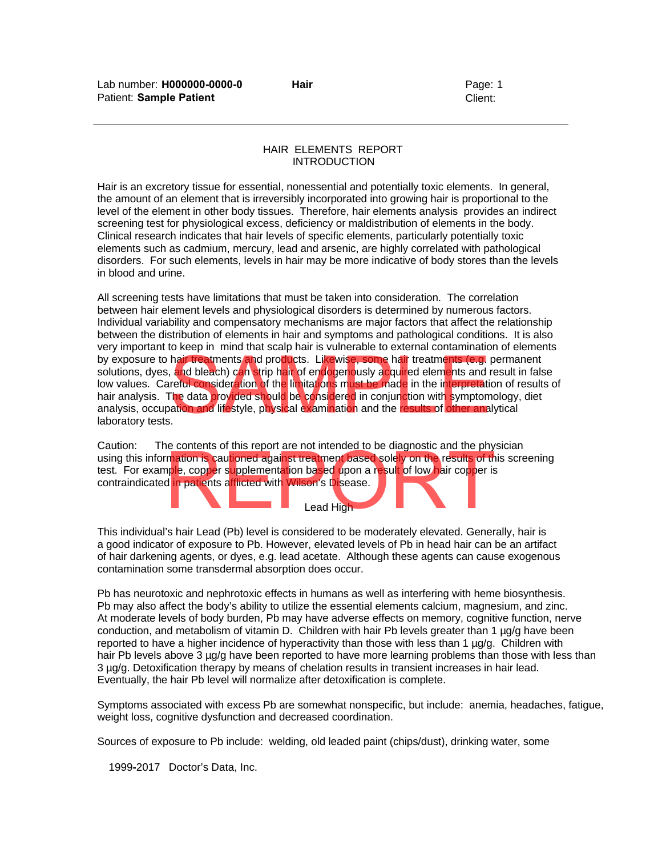# HAIR ELEMENTS REPORT INTRODUCTION

Hair is an excretory tissue for essential, nonessential and potentially toxic elements. In general, the amount of an element that is irreversibly incorporated into growing hair is proportional to the level of the element in other body tissues. Therefore, hair elements analysis provides an indirect screening test for physiological excess, deficiency or maldistribution of elements in the body. Clinical research indicates that hair levels of specific elements, particularly potentially toxic elements such as cadmium, mercury, lead and arsenic, are highly correlated with pathological disorders. For such elements, levels in hair may be more indicative of body stores than the levels in blood and urine.

All screening tests have limitations that must be taken into consideration. The correlation between hair element levels and physiological disorders is determined by numerous factors. Individual variability and compensatory mechanisms are major factors that affect the relationship between the distribution of elements in hair and symptoms and pathological conditions. It is also very important to keep in mind that scalp hair is vulnerable to external contamination of elements by exposure to hair treatments and products. Likewise, some hair treatments (e.g. permanent solutions, dyes, and bleach) can strip hair of endogenously acquired elements and result in false low values. Careful consideration of the limitations must be made in the interpretation of results of hair analysis. The data provided should be considered in conjunction with symptomology, diet analysis, occupation and lifestyle, physical examination and the results of other analytical laboratory tests. hair treatments and products. Likewise, some hair treatments (e.g. perm, and bleach) can strip hair of endogenously acquired elements and result reful consideration of the limitations must be made in the interpretation of

Caution: The contents of this report are not intended to be diagnostic and the physician Using this information is cautioned against treatment based solely on the results of this screening<br>test. For example, copper supplementation based upon a result of low hair copper is<br>contraindicated in patients afflicted test. For example, copper supplementation based upon a result of low hair copper is contraindicated in patients afflicted with Wilson's Disease.

Lead High

This individual's hair Lead (Pb) level is considered to be moderately elevated. Generally, hair is a good indicator of exposure to Pb. However, elevated levels of Pb in head hair can be an artifact of hair darkening agents, or dyes, e.g. lead acetate. Although these agents can cause exogenous contamination some transdermal absorption does occur.

Pb has neurotoxic and nephrotoxic effects in humans as well as interfering with heme biosynthesis. Pb may also affect the body's ability to utilize the essential elements calcium, magnesium, and zinc. At moderate levels of body burden, Pb may have adverse effects on memory, cognitive function, nerve conduction, and metabolism of vitamin D. Children with hair Pb levels greater than 1  $\mu q/q$  have been reported to have a higher incidence of hyperactivity than those with less than 1 µg/g. Children with hair Pb levels above 3 µg/g have been reported to have more learning problems than those with less than 3 µg/g. Detoxification therapy by means of chelation results in transient increases in hair lead. Eventually, the hair Pb level will normalize after detoxification is complete.

Symptoms associated with excess Pb are somewhat nonspecific, but include: anemia, headaches, fatigue, weight loss, cognitive dysfunction and decreased coordination.

Sources of exposure to Pb include: welding, old leaded paint (chips/dust), drinking water, some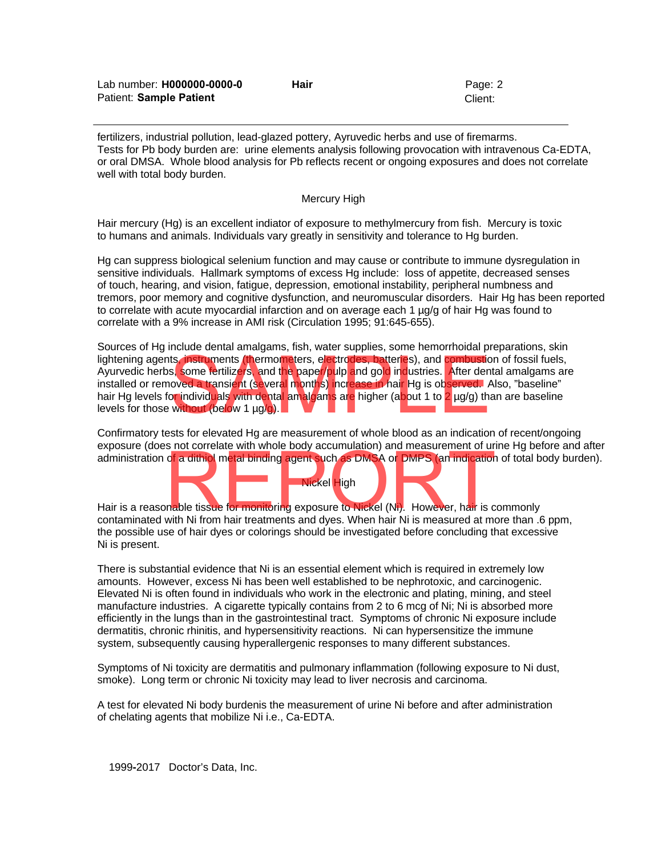| Lab number: <b>H000000-0000-0</b> | Hair | Page: 2 |
|-----------------------------------|------|---------|
| Patient: Sample Patient           |      | Client: |

fertilizers, industrial pollution, lead-glazed pottery, Ayruvedic herbs and use of firemarms. Tests for Pb body burden are: urine elements analysis following provocation with intravenous Ca-EDTA, or oral DMSA. Whole blood analysis for Pb reflects recent or ongoing exposures and does not correlate well with total body burden.

#### Mercury High

Hair mercury (Hg) is an excellent indiator of exposure to methylmercury from fish. Mercury is toxic to humans and animals. Individuals vary greatly in sensitivity and tolerance to Hg burden.

Hg can suppress biological selenium function and may cause or contribute to immune dysregulation in sensitive individuals. Hallmark symptoms of excess Hg include: loss of appetite, decreased senses of touch, hearing, and vision, fatigue, depression, emotional instability, peripheral numbness and tremors, poor memory and cognitive dysfunction, and neuromuscular disorders. Hair Hg has been reported to correlate with acute myocardial infarction and on average each 1 µg/g of hair Hg was found to correlate with a 9% increase in AMI risk (Circulation 1995; 91:645-655).

Sources of Hg include dental amalgams, fish, water supplies, some hemorrhoidal preparations, skin lightening agents, instruments (thermometers, electrodes, batteries), and combustion of fossil fuels, Ayurvedic herbs, some fertilizers, and the paper/pulp and gold industries. After dental amalgams are installed or removed a transient (several months) increase in hair Hg is observed. Also, "baseline" hair Hg levels for individuals with dental amalgams are higher (about 1 to 2 µg/g) than are baseline levels for those without (below 1 µg/g). ts, instruments (thermometers, electrodes, batteries), and combustion of<br>s, some fertilizers, and the paper/pulp and gold industries. After dental an<br>oved a transient (several months) increase in hair Hg is observed. Also

Confirmatory tests for elevated Hg are measurement of whole blood as an indication of recent/ongoing exposure (does not correlate with whole body accumulation) and measurement of urine Hg before and after

administration of a dithiol metal binding agent such as DMSA or DMPS (an indication of total body burden).<br>Hair is a reasonable tissue for monitoring exposure to Nickel (Ni). However, hair is commonly contaminated with Ni Hair is a reasonable tissue for monitoring exposure to Nickel (Ni). However, hair is commonly contaminated with Ni from hair treatments and dyes. When hair Ni is measured at more than .6 ppm, the possible use of hair dyes or colorings should be investigated before concluding that excessive Ni is present.

Nickel High

There is substantial evidence that Ni is an essential element which is required in extremely low amounts. However, excess Ni has been well established to be nephrotoxic, and carcinogenic. Elevated Ni is often found in individuals who work in the electronic and plating, mining, and steel manufacture industries. A cigarette typically contains from 2 to 6 mcg of Ni; Ni is absorbed more efficiently in the lungs than in the gastrointestinal tract. Symptoms of chronic Ni exposure include dermatitis, chronic rhinitis, and hypersensitivity reactions. Ni can hypersensitize the immune system, subsequently causing hyperallergenic responses to many different substances.

Symptoms of Ni toxicity are dermatitis and pulmonary inflammation (following exposure to Ni dust, smoke). Long term or chronic Ni toxicity may lead to liver necrosis and carcinoma.

A test for elevated Ni body burdenis the measurement of urine Ni before and after administration of chelating agents that mobilize Ni i.e., Ca-EDTA.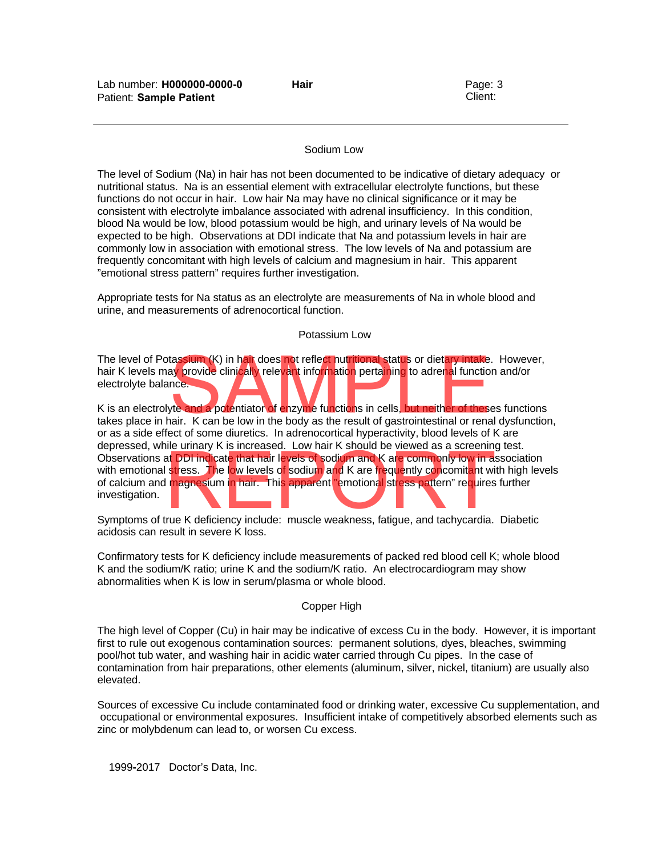# Sodium Low

The level of Sodium (Na) in hair has not been documented to be indicative of dietary adequacy or nutritional status. Na is an essential element with extracellular electrolyte functions, but these functions do not occur in hair. Low hair Na may have no clinical significance or it may be consistent with electrolyte imbalance associated with adrenal insufficiency. In this condition, blood Na would be low, blood potassium would be high, and urinary levels of Na would be expected to be high. Observations at DDI indicate that Na and potassium levels in hair are commonly low in association with emotional stress. The low levels of Na and potassium are frequently concomitant with high levels of calcium and magnesium in hair. This apparent "emotional stress pattern" requires further investigation.

Appropriate tests for Na status as an electrolyte are measurements of Na in whole blood and urine, and measurements of adrenocortical function.

#### Potassium Low

The level of Potassium (K) in hair does not reflect nutritional status or dietary intake. However, hair K levels may provide clinically relevant information pertaining to adrenal function and/or electrolyte balance. tassium (K) in hair does not reflect nutritional status or dietary intake. How provide clinically relevant information pertaining to adrenal function and note.<br>The and a potentiator of enzyme functions in cells, but neithe

K is an electrolyte and a potentiator of enzyme functions in cells, but neither of theses functions takes place in hair. K can be low in the body as the result of gastrointestinal or renal dysfunction, or as a side effect of some diuretics. In adrenocortical hyperactivity, blood levels of K are depressed, while urinary K is increased. Low hair K should be viewed as a screening test. Observations at DDI indicate that hair levels of sodium and K are commonly low in association with emotional stress. The low levels of sodium and K are requently concomitant with high level of calcium and magnesium in hair with emotional stress. The low levels of sodium and K are frequently concomitant with high levels of calcium and magnesium in hair. This apparent "emotional stress pattern" requires further investigation.

Symptoms of true K deficiency include: muscle weakness, fatigue, and tachycardia. Diabetic acidosis can result in severe K loss.

Confirmatory tests for K deficiency include measurements of packed red blood cell K; whole blood K and the sodium/K ratio; urine K and the sodium/K ratio. An electrocardiogram may show abnormalities when K is low in serum/plasma or whole blood.

# Copper High

The high level of Copper (Cu) in hair may be indicative of excess Cu in the body. However, it is important first to rule out exogenous contamination sources: permanent solutions, dyes, bleaches, swimming pool/hot tub water, and washing hair in acidic water carried through Cu pipes. In the case of contamination from hair preparations, other elements (aluminum, silver, nickel, titanium) are usually also elevated.

Sources of excessive Cu include contaminated food or drinking water, excessive Cu supplementation, and occupational or environmental exposures. Insufficient intake of competitively absorbed elements such as zinc or molybdenum can lead to, or worsen Cu excess.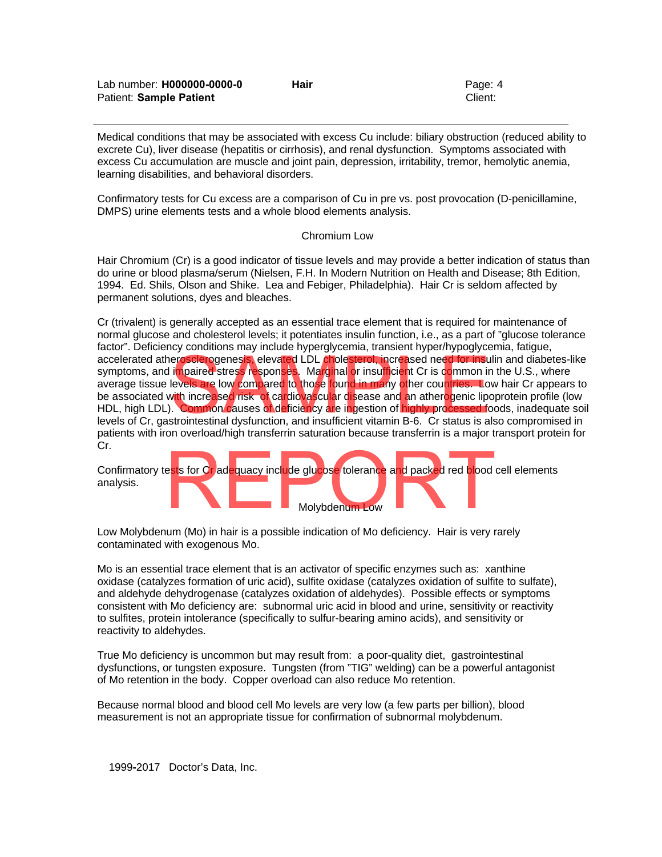| Lab number: H000000-0000-0 | <b>Hair</b> | Page: 4 |
|----------------------------|-------------|---------|
| Patient: Sample Patient    |             | Client: |

Medical conditions that may be associated with excess Cu include: biliary obstruction (reduced ability to excrete Cu), liver disease (hepatitis or cirrhosis), and renal dysfunction. Symptoms associated with excess Cu accumulation are muscle and joint pain, depression, irritability, tremor, hemolytic anemia, learning disabilities, and behavioral disorders.

Confirmatory tests for Cu excess are a comparison of Cu in pre vs. post provocation (D-penicillamine, DMPS) urine elements tests and a whole blood elements analysis.

#### Chromium Low

Hair Chromium (Cr) is a good indicator of tissue levels and may provide a better indication of status than do urine or blood plasma/serum (Nielsen, F.H. In Modern Nutrition on Health and Disease; 8th Edition, 1994. Ed. Shils, Olson and Shike. Lea and Febiger, Philadelphia). Hair Cr is seldom affected by permanent solutions, dyes and bleaches.

Cr (trivalent) is generally accepted as an essential trace element that is required for maintenance of normal glucose and cholesterol levels; it potentiates insulin function, i.e., as a part of "glucose tolerance factor". Deficiency conditions may include hyperglycemia, transient hyper/hypoglycemia, fatigue, accelerated atherosclerogenesis, elevated LDL cholesterol, increased need for insulin and diabetes-like symptoms, and i<mark>m</mark>paired stress responses. Marginal or insufficient Cr is common in the U.S., where average tissue levels are low compared to those found in many other countries. Low hair Cr appears to be associated with increased risk of cardiovascular disease and an atherogenic lipoprotein profile (low HDL, high LDL). Common causes of deficiency are ingestion of highly processed foods, inadequate soil levels of Cr, gastrointestinal dysfunction, and insufficient vitamin B-6. Cr status is also compromised in patients with iron overload/high transferrin saturation because transferrin is a major transport protein for Cr. erosclerogenesis, elevated LDL cholesterol, increased need for insulin are impaired stress responses. Marginal or insufficient Cr is common in the levels are low compared to those found in many other countries. Low have th



Low Molybdenum (Mo) in hair is a possible indication of Mo deficiency. Hair is very rarely contaminated with exogenous Mo.

Mo is an essential trace element that is an activator of specific enzymes such as: xanthine oxidase (catalyzes formation of uric acid), sulfite oxidase (catalyzes oxidation of sulfite to sulfate), and aldehyde dehydrogenase (catalyzes oxidation of aldehydes). Possible effects or symptoms consistent with Mo deficiency are: subnormal uric acid in blood and urine, sensitivity or reactivity to sulfites, protein intolerance (specifically to sulfur-bearing amino acids), and sensitivity or reactivity to aldehydes.

True Mo deficiency is uncommon but may result from: a poor-quality diet, gastrointestinal dysfunctions, or tungsten exposure. Tungsten (from "TIG" welding) can be a powerful antagonist of Mo retention in the body. Copper overload can also reduce Mo retention.

Because normal blood and blood cell Mo levels are very low (a few parts per billion), blood measurement is not an appropriate tissue for confirmation of subnormal molybdenum.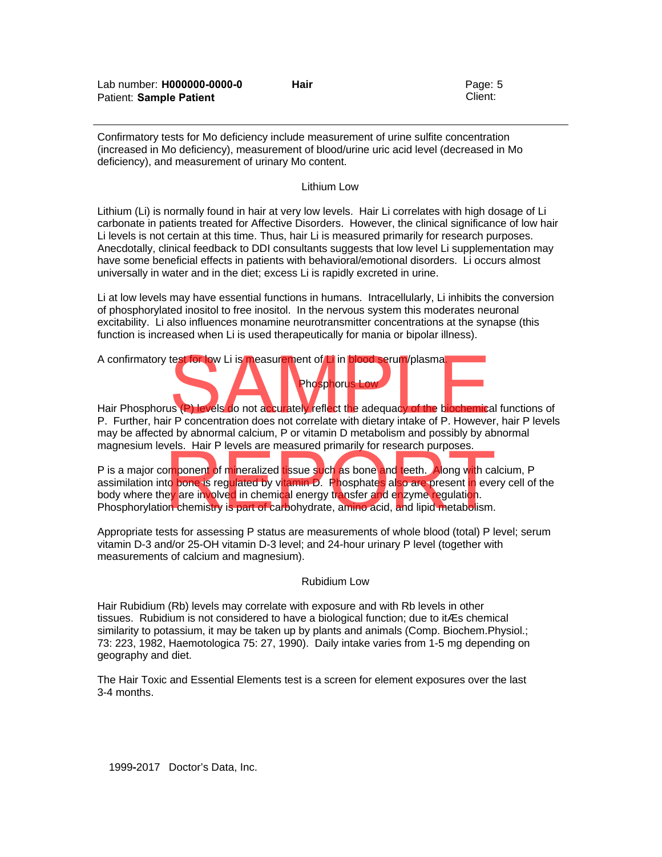Confirmatory tests for Mo deficiency include measurement of urine sulfite concentration (increased in Mo deficiency), measurement of blood/urine uric acid level (decreased in Mo deficiency), and measurement of urinary Mo content.

#### Lithium Low

Lithium (Li) is normally found in hair at very low levels. Hair Li correlates with high dosage of Li carbonate in patients treated for Affective Disorders. However, the clinical significance of low hair Li levels is not certain at this time. Thus, hair Li is measured primarily for research purposes. Anecdotally, clinical feedback to DDI consultants suggests that low level Li supplementation may have some beneficial effects in patients with behavioral/emotional disorders. Li occurs almost universally in water and in the diet; excess Li is rapidly excreted in urine.

Li at low levels may have essential functions in humans. Intracellularly, Li inhibits the conversion of phosphorylated inositol to free inositol. In the nervous system this moderates neuronal excitability. Li also influences monamine neurotransmitter concentrations at the synapse (this function is increased when Li is used therapeutically for mania or bipolar illness).

A confirmatory test for low Li is measurement of Li in blood serum/plasma.

Hair Phosphorus (P) levels do not accurately reflect the adequacy of the biochemical functions of P. Further, hair P concentration does not correlate with dietary intake of P. However, hair P levels may be affected by abnormal calcium, P or vitamin D metabolism and possibly by abnormal magnesium levels. Hair P levels are measured primarily for research purposes. The Sphere of Li in blood serum/plasma.<br>
The Spherus Low<br>
Is (P) levels do not accurately reflect the adequacy of the biochemical fun<br>
Phosphorus Low<br>
Phosphorus Low<br>
The biochemical function does not correlate with dietar

Phosphorus Low

P is a major component of mineralized tissue such as bone and teeth. Along with calcium, P assimilation into bone is regulated by vitamin D. Phosphates also are present in every cell of the body where they are involved in chemical energy transfer and enzyme regulation. Phosphorylation chemistry is part of carbohydrate, amino acid, and lipid metabolism. International contract the measured primain, for research paraposes.<br>The property of mineralized tissue such as bone and teeth. Along with cate to bone is regulated by vitamin D. Phosphates also are present in every are in

Appropriate tests for assessing P status are measurements of whole blood (total) P level; serum vitamin D-3 and/or 25-OH vitamin D-3 level; and 24-hour urinary P level (together with measurements of calcium and magnesium).

# Rubidium Low

Hair Rubidium (Rb) levels may correlate with exposure and with Rb levels in other tissues. Rubidium is not considered to have a biological function; due to itÆs chemical similarity to potassium, it may be taken up by plants and animals (Comp. Biochem.Physiol.; 73: 223, 1982, Haemotologica 75: 27, 1990). Daily intake varies from 1-5 mg depending on geography and diet.

The Hair Toxic and Essential Elements test is a screen for element exposures over the last 3-4 months.